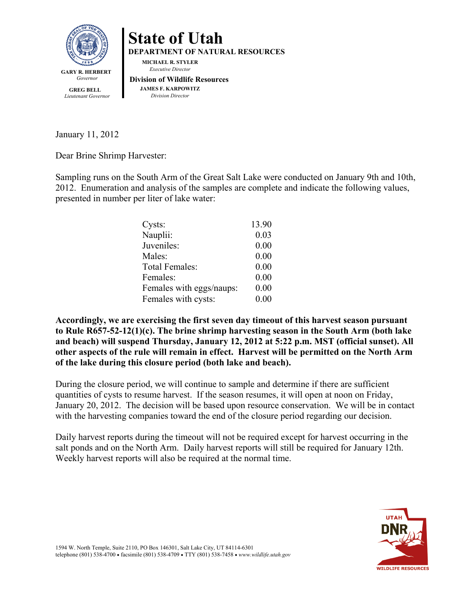

**State of Utah DEPARTMENT OF NATURAL RESOURCES MICHAEL R. STYLER** *Executive Director*  **Division of Wildlife Resources JAMES F. KARPOWITZ** *Division Director*

 **GREG BELL** *Lieutenant Governor*

January 11, 2012

Dear Brine Shrimp Harvester:

Sampling runs on the South Arm of the Great Salt Lake were conducted on January 9th and 10th, 2012. Enumeration and analysis of the samples are complete and indicate the following values, presented in number per liter of lake water:

| Cysts:                   | 13.90 |
|--------------------------|-------|
| Nauplii:                 | 0.03  |
| Juveniles:               | 0.00  |
| Males:                   | 0.00  |
| <b>Total Females:</b>    | 0.00  |
| Females:                 | 0.00  |
| Females with eggs/naups: | 0.00  |
| Females with cysts:      | 0.00  |

**Accordingly, we are exercising the first seven day timeout of this harvest season pursuant to Rule R657-52-12(1)(c). The brine shrimp harvesting season in the South Arm (both lake and beach) will suspend Thursday, January 12, 2012 at 5:22 p.m. MST (official sunset). All other aspects of the rule will remain in effect. Harvest will be permitted on the North Arm of the lake during this closure period (both lake and beach).** 

During the closure period, we will continue to sample and determine if there are sufficient quantities of cysts to resume harvest. If the season resumes, it will open at noon on Friday, January 20, 2012. The decision will be based upon resource conservation. We will be in contact with the harvesting companies toward the end of the closure period regarding our decision.

Daily harvest reports during the timeout will not be required except for harvest occurring in the salt ponds and on the North Arm. Daily harvest reports will still be required for January 12th. Weekly harvest reports will also be required at the normal time.